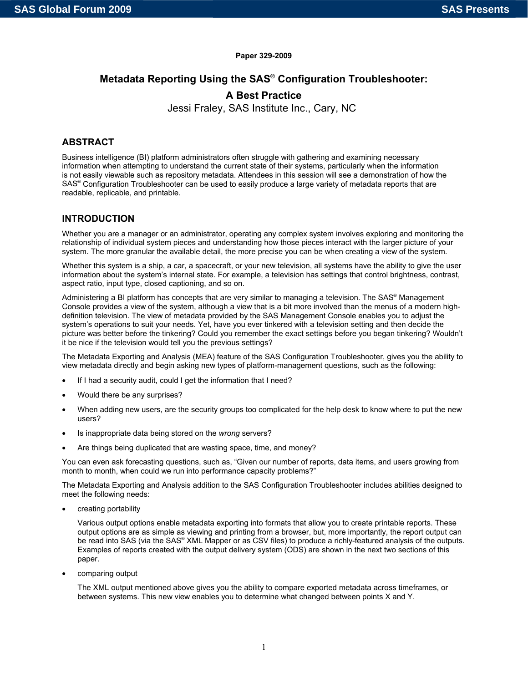#### **Paper 329-2009**

### **Metadata Reporting Using the SAS**® **Configuration Troubleshooter:**

## **A Best Practice**

Jessi Fraley, SAS Institute Inc., Cary, NC

## **ABSTRACT**

Business intelligence (BI) platform administrators often struggle with gathering and examining necessary information when attempting to understand the current state of their systems, particularly when the information is not easily viewable such as repository metadata. Attendees in this session will see a demonstration of how the SAS® Configuration Troubleshooter can be used to easily produce a large variety of metadata reports that are readable, replicable, and printable.

### **INTRODUCTION**

Whether you are a manager or an administrator, operating any complex system involves exploring and monitoring the relationship of individual system pieces and understanding how those pieces interact with the larger picture of your system. The more granular the available detail, the more precise you can be when creating a view of the system.

Whether this system is a ship, a car, a spacecraft, or your new television, all systems have the ability to give the user information about the system's internal state. For example, a television has settings that control brightness, contrast, aspect ratio, input type, closed captioning, and so on.

Administering a BI platform has concepts that are very similar to managing a television. The SAS® Management Console provides a view of the system, although a view that is a bit more involved than the menus of a modern highdefinition television. The view of metadata provided by the SAS Management Console enables you to adjust the system's operations to suit your needs. Yet, have you ever tinkered with a television setting and then decide the picture was better before the tinkering? Could you remember the exact settings before you began tinkering? Wouldn't it be nice if the television would tell you the previous settings?

The Metadata Exporting and Analysis (MEA) feature of the SAS Configuration Troubleshooter, gives you the ability to view metadata directly and begin asking new types of platform-management questions, such as the following:

- If I had a security audit, could I get the information that I need?
- Would there be any surprises?
- When adding new users, are the security groups too complicated for the help desk to know where to put the new users?
- Is inappropriate data being stored on the *wrong* servers?
- Are things being duplicated that are wasting space, time, and money?

You can even ask forecasting questions, such as, "Given our number of reports, data items, and users growing from month to month, when could we run into performance capacity problems?"

The Metadata Exporting and Analysis addition to the SAS Configuration Troubleshooter includes abilities designed to meet the following needs:

• creating portability

Various output options enable metadata exporting into formats that allow you to create printable reports. These output options are as simple as viewing and printing from a browser, but, more importantly, the report output can be read into SAS (via the SAS<sup>®</sup> XML Mapper or as CSV files) to produce a richly-featured analysis of the outputs. Examples of reports created with the output delivery system (ODS) are shown in the next two sections of this paper.

• comparing output

The XML output mentioned above gives you the ability to compare exported metadata across timeframes, or between systems. This new view enables you to determine what changed between points X and Y.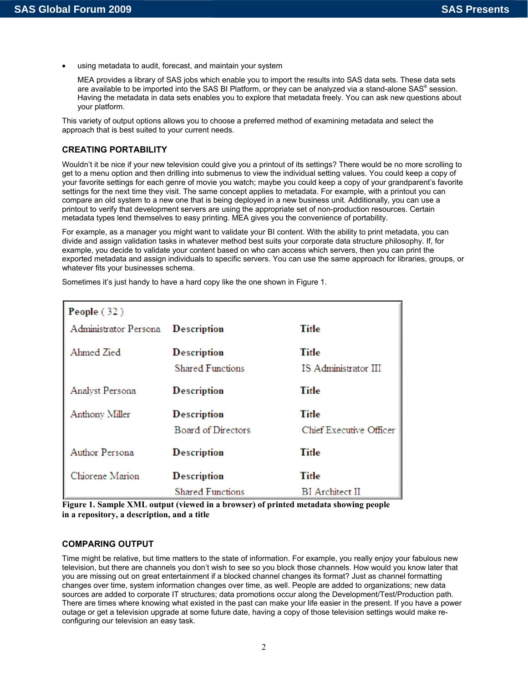using metadata to audit, forecast, and maintain your system

MEA provides a library of SAS jobs which enable you to import the results into SAS data sets. These data sets are available to be imported into the SAS BI Platform, or they can be analyzed via a stand-alone SAS® session. Having the metadata in data sets enables you to explore that metadata freely. You can ask new questions about your platform.

This variety of output options allows you to choose a preferred method of examining metadata and select the approach that is best suited to your current needs.

### **CREATING PORTABILITY**

Wouldn't it be nice if your new television could give you a printout of its settings? There would be no more scrolling to get to a menu option and then drilling into submenus to view the individual setting values. You could keep a copy of your favorite settings for each genre of movie you watch; maybe you could keep a copy of your grandparent's favorite settings for the next time they visit. The same concept applies to metadata. For example, with a printout you can compare an old system to a new one that is being deployed in a new business unit. Additionally, you can use a printout to verify that development servers are using the appropriate set of non-production resources. Certain metadata types lend themselves to easy printing. MEA gives you the convenience of portability.

For example, as a manager you might want to validate your BI content. With the ability to print metadata, you can divide and assign validation tasks in whatever method best suits your corporate data structure philosophy. If, for example, you decide to validate your content based on who can access which servers, then you can print the exported metadata and assign individuals to specific servers. You can use the same approach for libraries, groups, or whatever fits your businesses schema.

| People (32)            |                                                 |                                         |  |  |  |
|------------------------|-------------------------------------------------|-----------------------------------------|--|--|--|
| Administrator Persona  | <b>Description</b>                              | <b>Title</b>                            |  |  |  |
| Ahmed Zied             | <b>Description</b><br><b>Shared Functions</b>   | <b>Title</b><br>IS Administrator III    |  |  |  |
| <b>Analyst Persona</b> | <b>Description</b>                              | <b>Title</b>                            |  |  |  |
| Anthony Miller         | <b>Description</b><br><b>Board of Directors</b> | <b>Title</b><br>Chief Executive Officer |  |  |  |
| <b>Author Persona</b>  | <b>Description</b>                              | <b>Title</b>                            |  |  |  |
| Chiorene Marion        | <b>Description</b><br><b>Shared Functions</b>   | <b>Title</b><br><b>BI</b> Architect II  |  |  |  |

Sometimes it's just handy to have a hard copy like the one shown in Figure 1.

**Figure 1. Sample XML output (viewed in a browser) of printed metadata showing people in a repository, a description, and a title** 

#### **COMPARING OUTPUT**

Time might be relative, but time matters to the state of information. For example, you really enjoy your fabulous new television, but there are channels you don't wish to see so you block those channels. How would you know later that you are missing out on great entertainment if a blocked channel changes its format? Just as channel formatting changes over time, system information changes over time, as well. People are added to organizations; new data sources are added to corporate IT structures; data promotions occur along the Development/Test/Production path. There are times where knowing what existed in the past can make your life easier in the present. If you have a power outage or get a television upgrade at some future date, having a copy of those television settings would make reconfiguring our television an easy task.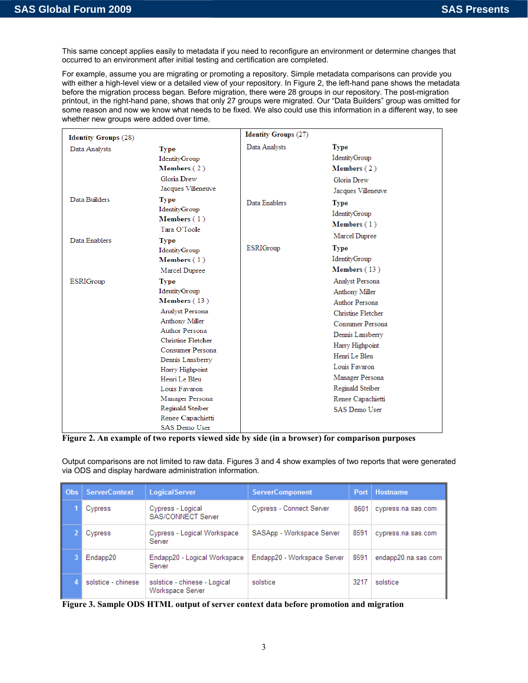This same concept applies easily to metadata if you need to reconfigure an environment or determine changes that occurred to an environment after initial testing and certification are completed.

For example, assume you are migrating or promoting a repository. Simple metadata comparisons can provide you with either a high-level view or a detailed view of your repository. In Figure 2, the left-hand pane shows the metadata before the migration process began. Before migration, there were 28 groups in our repository. The post-migration printout, in the right-hand pane, shows that only 27 groups were migrated. Our "Data Builders" group was omitted for some reason and now we know what needs to be fixed. We also could use this information in a different way, to see whether new groups were added over time.

| <b>Identity Groups (28)</b> |                                                                                                                                                                                                                                                                                                            | <b>Identity Groups (27)</b> |                                                                                                                                                                                                                                                            |
|-----------------------------|------------------------------------------------------------------------------------------------------------------------------------------------------------------------------------------------------------------------------------------------------------------------------------------------------------|-----------------------------|------------------------------------------------------------------------------------------------------------------------------------------------------------------------------------------------------------------------------------------------------------|
| Data Analysts               | <b>Type</b><br><b>IdentityGroup</b><br><b>Members</b> $(2)$<br>Gloria Drew<br>Jacques Villeneuve                                                                                                                                                                                                           | Data Analysts               | <b>Type</b><br><b>IdentityGroup</b><br>Members $(2)$<br>Gloria Drew<br>Jacques Villeneuve                                                                                                                                                                  |
| Data Builders               | <b>Type</b><br>IdentityGroup<br>Members $(1)$<br>Tara O'Toole                                                                                                                                                                                                                                              | Data Enablers               | <b>Type</b><br><b>IdentityGroup</b><br>Members $(1)$<br>Marcel Dupree                                                                                                                                                                                      |
| Data Enablers               | <b>Type</b><br><b>IdentityGroup</b><br>Members $(1)$<br>Marcel Dupree                                                                                                                                                                                                                                      | <b>ESRIGroup</b>            | Type<br><b>IdentityGroup</b><br>Members (13)                                                                                                                                                                                                               |
| <b>ESRIGroup</b>            | <b>Type</b><br>IdentityGroup<br>Members (13)<br>Analyst Persona<br>Anthony Miller<br>Author Persona<br>Christine Fletcher<br>Consumer Persona<br>Dennis Lansberry<br>Harry Highpoint<br>Henri Le Bleu<br>Louis Favaron<br>Manager Persona<br>Reginald Steiber<br>Renee Capachietti<br><b>SAS Demo User</b> |                             | Analyst Persona<br>Anthony Miller<br>Author Persona<br>Christine Fletcher<br>Consumer Persona<br>Dennis Lansberry<br>Harry Highpoint<br>Henri Le Bleu<br>Louis Favaron<br>Manager Persona<br>Reginald Steiber<br>Renee Capachietti<br><b>SAS Demo User</b> |

**Figure 2. An example of two reports viewed side by side (in a browser) for comparison purposes** 

Output comparisons are not limited to raw data. Figures 3 and 4 show examples of two reports that were generated via ODS and display hardware administration information.

| Obs | <b>ServerContext</b> | <b>LogicalServer</b>                             | <b>ServerComponent</b>      | Port | <b>Hostname</b>     |
|-----|----------------------|--------------------------------------------------|-----------------------------|------|---------------------|
|     | Cypress              | Cypress - Logical<br>SAS/CONNECT Server          | Cypress - Connect Server    | 8601 | cypress.na.sas.com  |
|     | Cypress              | Cypress - Logical Workspace<br>Server            | SASApp - Workspace Server   | 8591 | cypress.na.sas.com  |
|     | Endapp20             | Endapp20 - Logical Workspace<br>Server           | Endapp20 - Workspace Server | 8591 | endapp20.na.sas.com |
|     | solstice - chinese   | solstice - chinese - Logical<br>Workspace Server | solstice                    | 3217 | solstice            |

**Figure 3. Sample ODS HTML output of server context data before promotion and migration**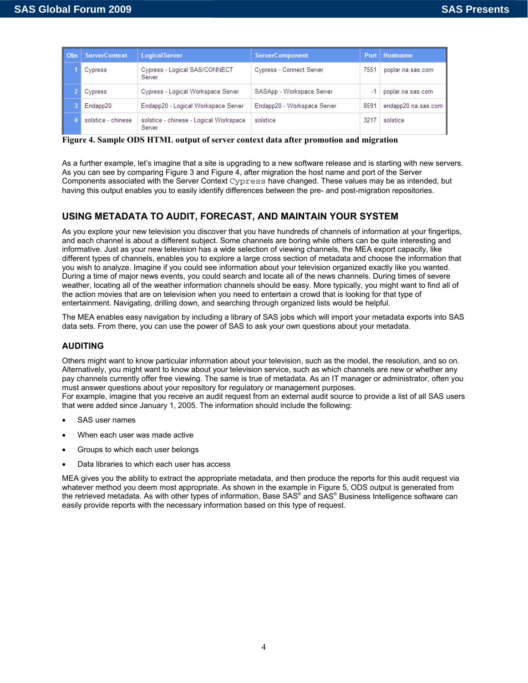| Obs. | <b>ServerContext</b> | <b>LogicalServer</b>                             | <b>ServerComponent</b>      |      | Port   Hostname     |
|------|----------------------|--------------------------------------------------|-----------------------------|------|---------------------|
|      | Cypress              | Cypress - Logical SAS/CONNECT<br>Server          | Cypress - Connect Server    | 7551 | poplar.na.sas.com   |
|      | Cypress              | Cypress - Logical Workspace Server               | SASApp - Workspace Server   | $-1$ | poplar.na.sas.com   |
|      | Endapp20             | Endapp20 - Logical Workspace Server              | Endapp20 - Workspace Server | 8591 | endapp20.na.sas.com |
|      | solstice - chinese   | solstice - chinese - Logical Workspace<br>Server | solstice                    | 3217 | solstice            |

**Figure 4. Sample ODS HTML output of server context data after promotion and migration** 

As a further example, let's imagine that a site is upgrading to a new software release and is starting with new servers. As you can see by comparing Figure 3 and Figure 4, after migration the host name and port of the Server Components associated with the Server Context Cypress have changed. These values may be as intended, but having this output enables you to easily identify differences between the pre- and post-migration repositories.

### **USING METADATA TO AUDIT, FORECAST, AND MAINTAIN YOUR SYSTEM**

As you explore your new television you discover that you have hundreds of channels of information at your fingertips, and each channel is about a different subject. Some channels are boring while others can be quite interesting and informative. Just as your new television has a wide selection of viewing channels, the MEA export capacity, like different types of channels, enables you to explore a large cross section of metadata and choose the information that you wish to analyze. Imagine if you could see information about your television organized exactly like you wanted. During a time of major news events, you could search and locate all of the news channels. During times of severe weather, locating all of the weather information channels should be easy. More typically, you might want to find all of the action movies that are on television when you need to entertain a crowd that is looking for that type of entertainment. Navigating, drilling down, and searching through organized lists would be helpful.

The MEA enables easy navigation by including a library of SAS jobs which will import your metadata exports into SAS data sets. From there, you can use the power of SAS to ask your own questions about your metadata.

### **AUDITING**

Others might want to know particular information about your television, such as the model, the resolution, and so on. Alternatively, you might want to know about your television service, such as which channels are new or whether any pay channels currently offer free viewing. The same is true of metadata. As an IT manager or administrator, often you must answer questions about your repository for regulatory or management purposes.

For example, imagine that you receive an audit request from an external audit source to provide a list of all SAS users that were added since January 1, 2005. The information should include the following:

- SAS user names
- When each user was made active
- Groups to which each user belongs
- Data libraries to which each user has access

MEA gives you the ability to extract the appropriate metadata, and then produce the reports for this audit request via whatever method you deem most appropriate. As shown in the example in Figure 5, ODS output is generated from the retrieved metadata. As with other types of information, Base SAS® and SAS® Business Intelligence software can easily provide reports with the necessary information based on this type of request.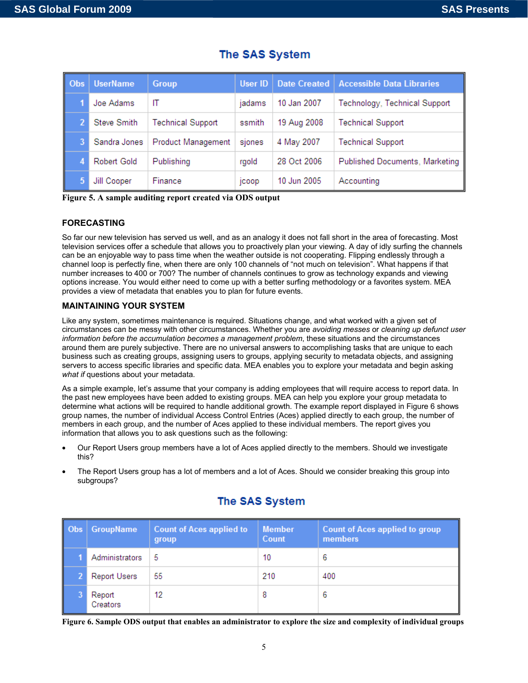| Obs | <b>UserName</b>    | <b>Group</b>              | User ID      | <b>Date Created</b> | <b>Accessible Data Libraries</b> |
|-----|--------------------|---------------------------|--------------|---------------------|----------------------------------|
|     | Joe Adams          | IT                        | jadams       | 10 Jan 2007         | Technology, Technical Support    |
|     | Steve Smith        | <b>Technical Support</b>  | ssmith       | 19 Aug 2008         | <b>Technical Support</b>         |
|     | Sandra Jones       | <b>Product Management</b> | sjones       | 4 May 2007          | <b>Technical Support</b>         |
|     | <b>Robert Gold</b> | Publishing                | rgold        | 28 Oct 2006         | Published Documents, Marketing   |
|     | Jill Cooper        | Finance                   | <b>ICOOD</b> | 10 Jun 2005         | Accounting                       |

# The SAS System

**Figure 5. A sample auditing report created via ODS output** 

### **FORECASTING**

So far our new television has served us well, and as an analogy it does not fall short in the area of forecasting. Most television services offer a schedule that allows you to proactively plan your viewing. A day of idly surfing the channels can be an enjoyable way to pass time when the weather outside is not cooperating. Flipping endlessly through a channel loop is perfectly fine, when there are only 100 channels of "not much on television". What happens if that number increases to 400 or 700? The number of channels continues to grow as technology expands and viewing options increase. You would either need to come up with a better surfing methodology or a favorites system. MEA provides a view of metadata that enables you to plan for future events.

### **MAINTAINING YOUR SYSTEM**

Like any system, sometimes maintenance is required. Situations change, and what worked with a given set of circumstances can be messy with other circumstances. Whether you are *avoiding messes* or *cleaning up defunct user information before the accumulation becomes a management problem*, these situations and the circumstances around them are purely subjective. There are no universal answers to accomplishing tasks that are unique to each business such as creating groups, assigning users to groups, applying security to metadata objects, and assigning servers to access specific libraries and specific data. MEA enables you to explore your metadata and begin asking *what if* questions about your metadata.

As a simple example, let's assume that your company is adding employees that will require access to report data. In the past new employees have been added to existing groups. MEA can help you explore your group metadata to determine what actions will be required to handle additional growth. The example report displayed in Figure 6 shows group names, the number of individual Access Control Entries (Aces) applied directly to each group, the number of members in each group, and the number of Aces applied to these individual members. The report gives you information that allows you to ask questions such as the following:

- Our Report Users group members have a lot of Aces applied directly to the members. Should we investigate this?
- The Report Users group has a lot of members and a lot of Aces. Should we consider breaking this group into subgroups?

| Obs | <b>GroupName</b>    | <b>Count of Aces applied to</b><br>group | <b>Member</b><br>Count | <b>Count of Aces applied to group</b><br>members |
|-----|---------------------|------------------------------------------|------------------------|--------------------------------------------------|
|     | Administrators      | 5                                        | 10                     | 6                                                |
|     | <b>Report Users</b> | 55                                       | 210                    | 400                                              |
|     | Report<br>Creators  | 12                                       | 8                      | 6                                                |

# The SAS System

**Figure 6. Sample ODS output that enables an administrator to explore the size and complexity of individual groups**